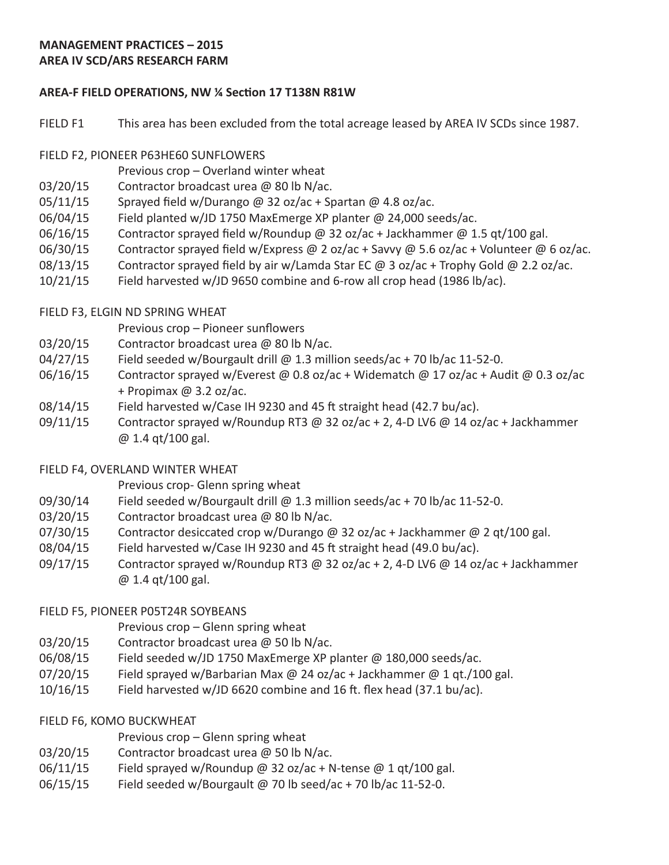### **MANAGEMENT PRACTICES – 2015 AREA IV SCD/ARS RESEARCH FARM**

## **AREA-F FIELD OPERATIONS, NW ¼ Section 17 T138N R81W**

FIELD F1 This area has been excluded from the total acreage leased by AREA IV SCDs since 1987.

- FIELD F2, PIONEER P63HE60 SUNFLOWERS
	- Previous crop Overland winter wheat
- 03/20/15 Contractor broadcast urea @ 80 lb N/ac.
- $05/11/15$  Sprayed field w/Durango @ 32 oz/ac + Spartan @ 4.8 oz/ac.
- 06/04/15 Field planted w/JD 1750 MaxEmerge XP planter @ 24,000 seeds/ac.
- 06/16/15 Contractor sprayed field w/Roundup @ 32 oz/ac + Jackhammer @ 1.5 qt/100 gal.
- 06/30/15 Contractor sprayed field w/Express @ 2 oz/ac + Savvy @ 5.6 oz/ac + Volunteer @ 6 oz/ac.
- 08/13/15 Contractor sprayed field by air w/Lamda Star EC  $\omega$  3 oz/ac + Trophy Gold  $\omega$  2.2 oz/ac.
- 10/21/15 Field harvested w/JD 9650 combine and 6-row all crop head (1986 lb/ac).
- FIELD F3, ELGIN ND SPRING WHEAT
	- Previous crop Pioneer sunflowers
- 03/20/15 Contractor broadcast urea @ 80 lb N/ac.
- 04/27/15 Field seeded w/Bourgault drill @ 1.3 million seeds/ac + 70 lb/ac 11-52-0.
- 06/16/15 Contractor sprayed w/Everest @ 0.8 oz/ac + Widematch @ 17 oz/ac + Audit @ 0.3 oz/ac + Propimax @ 3.2 oz/ac.
- 08/14/15 Field harvested w/Case IH 9230 and 45 ft straight head (42.7 bu/ac).
- 09/11/15 Contractor sprayed w/Roundup RT3 @ 32 oz/ac + 2, 4-D LV6 @ 14 oz/ac + Jackhammer @ 1.4 qt/100 gal.
- FIELD F4, OVERLAND WINTER WHEAT

 Previous crop- Glenn spring wheat

- 09/30/14 Field seeded w/Bourgault drill  $\omega$  1.3 million seeds/ac + 70 lb/ac 11-52-0.
- 03/20/15 Contractor broadcast urea @ 80 lb N/ac.
- 07/30/15 Contractor desiccated crop w/Durango @ 32 oz/ac + Jackhammer @ 2 qt/100 gal.
- 08/04/15 Field harvested w/Case IH 9230 and 45 ft straight head (49.0 bu/ac).
- 09/17/15 Contractor sprayed w/Roundup RT3 @ 32 oz/ac + 2, 4-D LV6 @ 14 oz/ac + Jackhammer @ 1.4 qt/100 gal.
- FIELD F5, PIONEER P05T24R SOYBEANS
	- Previous crop Glenn spring wheat
- 03/20/15 Contractor broadcast urea @ 50 lb N/ac.
- 06/08/15 Field seeded w/JD 1750 MaxEmerge XP planter @ 180,000 seeds/ac.
- 07/20/15 Field sprayed w/Barbarian Max  $\omega$  24 oz/ac + Jackhammer  $\omega$  1 qt./100 gal.
- 10/16/15 Field harvested w/JD 6620 combine and 16 ft. flex head (37.1 bu/ac).
- FIELD F6, KOMO BUCKWHEAT
	- Previous crop Glenn spring wheat
- 03/20/15 Contractor broadcast urea @ 50 lb N/ac.
- $06/11/15$  Field sprayed w/Roundup @ 32 oz/ac + N-tense @ 1 qt/100 gal.
- 06/15/15 Field seeded w/Bourgault @ 70 lb seed/ac + 70 lb/ac 11-52-0.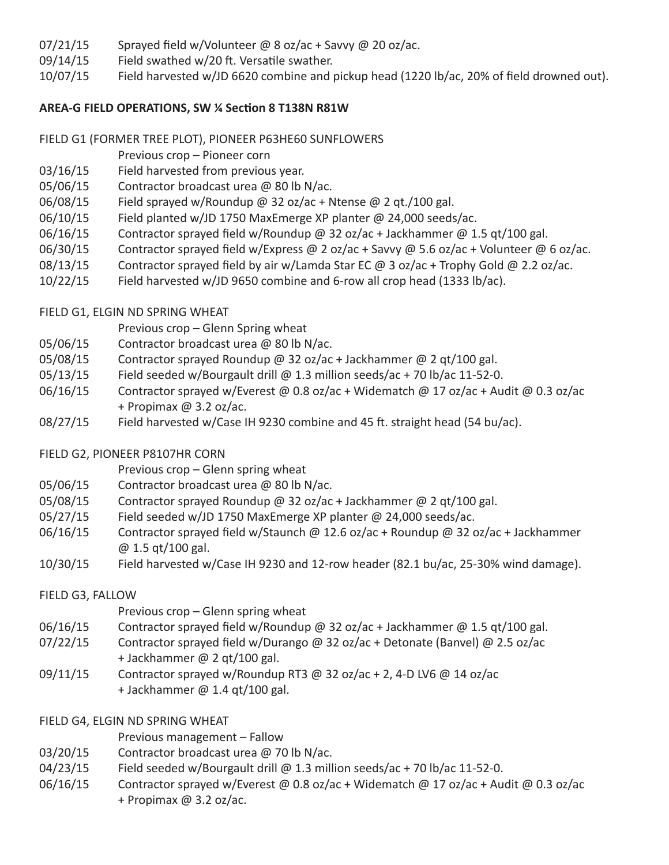- $07/21/15$  Sprayed field w/Volunteer @ 8 oz/ac + Savvy @ 20 oz/ac.
- 09/14/15 Field swathed w/20 ft. Versatile swather.
- 10/07/15 Field harvested w/JD 6620 combine and pickup head (1220 lb/ac, 20% of field drowned out).

# **AREA-G FIELD OPERATIONS, SW ¼ Section 8 T138N R81W**

# FIELD G1 (FORMER TREE PLOT), PIONEER P63HE60 SUNFLOWERS

- Previous crop Pioneer corn
- 03/16/15 Field harvested from previous year.
- 05/06/15 Contractor broadcast urea @ 80 lb N/ac.
- 06/08/15 Field sprayed w/Roundup @ 32 oz/ac + Ntense @ 2 qt./100 gal.
- 06/10/15 Field planted w/JD 1750 MaxEmerge XP planter @ 24,000 seeds/ac.
- 06/16/15 Contractor sprayed field w/Roundup @ 32 oz/ac + Jackhammer @ 1.5 qt/100 gal.
- 06/30/15 Contractor sprayed field w/Express @ 2 oz/ac + Savvy @ 5.6 oz/ac + Volunteer @ 6 oz/ac.
- 08/13/15 Contractor sprayed field by air w/Lamda Star EC @ 3 oz/ac + Trophy Gold @ 2.2 oz/ac.
- 10/22/15 Field harvested w/JD 9650 combine and 6-row all crop head (1333 lb/ac).
- FIELD G1, ELGIN ND SPRING WHEAT
	- Previous crop Glenn Spring wheat
- 05/06/15 Contractor broadcast urea @ 80 lb N/ac.
- 05/08/15 Contractor sprayed Roundup @ 32 oz/ac + Jackhammer @ 2 qt/100 gal.
- 05/13/15 Field seeded w/Bourgault drill @ 1.3 million seeds/ac + 70 lb/ac 11-52-0.
- 06/16/15 Contractor sprayed w/Everest @ 0.8 oz/ac + Widematch @ 17 oz/ac + Audit @ 0.3 oz/ac + Propimax @ 3.2 oz/ac.
- 08/27/15 Field harvested w/Case IH 9230 combine and 45 ft. straight head (54 bu/ac).
- FIELD G2, PIONEER P8107HR CORN
	- Previous crop Glenn spring wheat
- 05/06/15 Contractor broadcast urea @ 80 lb N/ac.
- 05/08/15 Contractor sprayed Roundup @ 32 oz/ac + Jackhammer @ 2 qt/100 gal.
- 05/27/15 Field seeded w/JD 1750 MaxEmerge XP planter @ 24,000 seeds/ac.
- 06/16/15 Contractor sprayed field w/Staunch @ 12.6 oz/ac + Roundup @ 32 oz/ac + Jackhammer @ 1.5 qt/100 gal.
- 10/30/15 Field harvested w/Case IH 9230 and 12-row header (82.1 bu/ac, 25-30% wind damage).
- FIELD G3, FALLOW
	- Previous crop Glenn spring wheat
- 06/16/15 Contractor sprayed field w/Roundup @ 32 oz/ac + Jackhammer @ 1.5 qt/100 gal.
- 07/22/15 Contractor sprayed field w/Durango @ 32 oz/ac + Detonate (Banvel) @ 2.5 oz/ac + Jackhammer @ 2 qt/100 gal.
- 09/11/15 Contractor sprayed w/Roundup RT3 @ 32 oz/ac + 2, 4-D LV6 @ 14 oz/ac + Jackhammer @ 1.4 qt/100 gal.
- FIELD G4, ELGIN ND SPRING WHEAT
	- Previous management Fallow
- 03/20/15 Contractor broadcast urea @ 70 lb N/ac.
- 04/23/15 Field seeded w/Bourgault drill @ 1.3 million seeds/ac + 70 lb/ac 11-52-0.
- 06/16/15 Contractor sprayed w/Everest @ 0.8 oz/ac + Widematch @ 17 oz/ac + Audit @ 0.3 oz/ac + Propimax @ 3.2 oz/ac.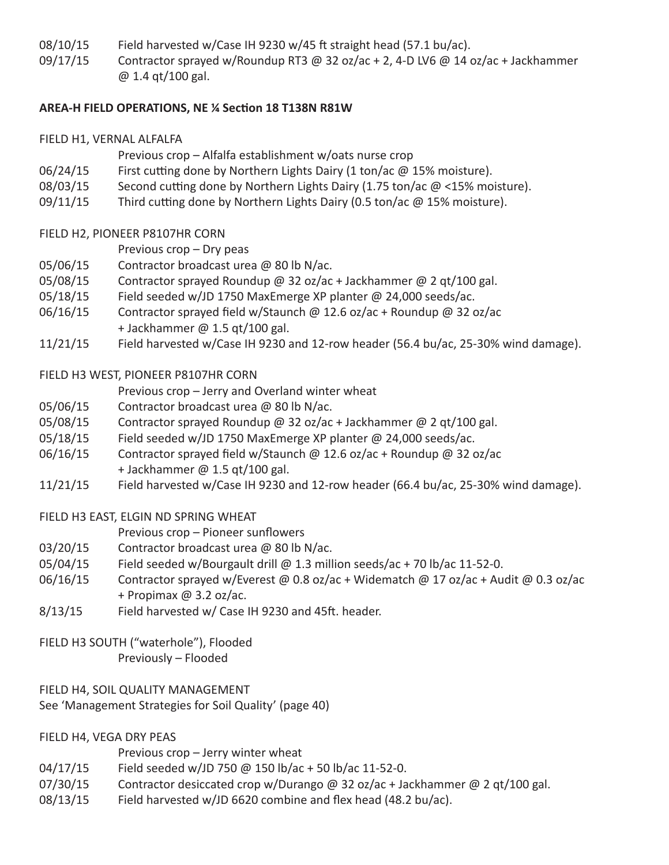08/10/15 Field harvested w/Case IH 9230 w/45 ft straight head (57.1 bu/ac).

09/17/15 Contractor sprayed w/Roundup RT3 @ 32 oz/ac + 2, 4-D LV6 @ 14 oz/ac + Jackhammer @ 1.4 qt/100 gal.

## **AREA-H FIELD OPERATIONS, NE ¼ Section 18 T138N R81W**

- FIELD H1, VERNAL ALFALFA
	- Previous crop Alfalfa establishment w/oats nurse crop
- 06/24/15 First cutting done by Northern Lights Dairy (1 ton/ac @ 15% moisture).
- $08/03/15$  Second cutting done by Northern Lights Dairy (1.75 ton/ac  $\omega$  <15% moisture).
- 09/11/15 Third cutting done by Northern Lights Dairy (0.5 ton/ac  $\omega$  15% moisture).
- FIELD H2, PIONEER P8107HR CORN
	- Previous crop Dry peas
- 05/06/15 Contractor broadcast urea @ 80 lb N/ac.
- 05/08/15 Contractor sprayed Roundup @ 32 oz/ac + Jackhammer @ 2 qt/100 gal.
- 05/18/15 Field seeded w/JD 1750 MaxEmerge XP planter @ 24,000 seeds/ac.
- 06/16/15 Contractor sprayed field w/Staunch @ 12.6 oz/ac + Roundup @ 32 oz/ac + Jackhammer @ 1.5 qt/100 gal.
- 11/21/15 Field harvested w/Case IH 9230 and 12-row header (56.4 bu/ac, 25-30% wind damage).
- FIELD H3 WEST, PIONEER P8107HR CORN
	- Previous crop Jerry and Overland winter wheat
- $05/06/15$  Contractor broadcast urea @ 80 lb N/ac.
- $05/08/15$  Contractor sprayed Roundup @ 32 oz/ac + Jackhammer @ 2 qt/100 gal.
- 05/18/15 Field seeded w/JD 1750 MaxEmerge XP planter @ 24,000 seeds/ac.
- 06/16/15 Contractor sprayed field w/Staunch @ 12.6 oz/ac + Roundup @ 32 oz/ac + Jackhammer @ 1.5 qt/100 gal.
- 11/21/15 Field harvested w/Case IH 9230 and 12-row header (66.4 bu/ac, 25-30% wind damage).
- FIELD H3 EAST, ELGIN ND SPRING WHEAT
	- Previous crop Pioneer sunflowers
- 03/20/15 Contractor broadcast urea @ 80 lb N/ac.
- 05/04/15 Field seeded w/Bourgault drill  $\omega$  1.3 million seeds/ac + 70 lb/ac 11-52-0.
- 06/16/15 Contractor sprayed w/Everest @ 0.8 oz/ac + Widematch @ 17 oz/ac + Audit @ 0.3 oz/ac + Propimax @ 3.2 oz/ac.
- 8/13/15 Field harvested w/ Case IH 9230 and 45ft. header.
- FIELD H3 SOUTH ("waterhole"), Flooded Previously – Flooded
- FIELD H4, SOIL QUALITY MANAGEMENT
- See 'Management Strategies for Soil Quality' (page 40)
- FIELD H4, VEGA DRY PEAS
	- Previous crop Jerry winter wheat
- 04/17/15 Field seeded w/JD 750 @ 150 lb/ac + 50 lb/ac 11-52-0.
- 07/30/15 Contractor desiccated crop w/Durango @ 32 oz/ac + Jackhammer @ 2 qt/100 gal.
- 08/13/15 Field harvested w/JD 6620 combine and flex head (48.2 bu/ac).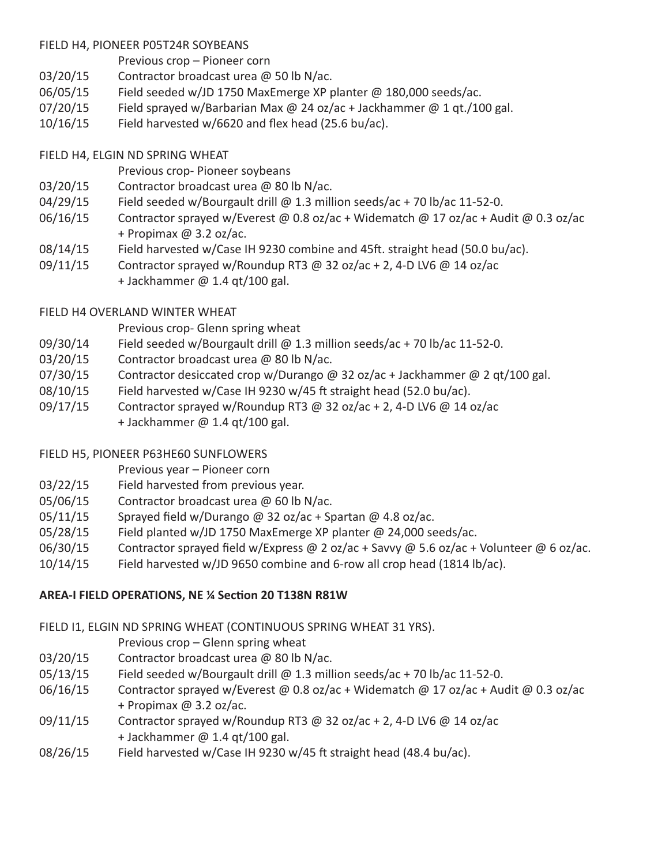### FIELD H4, PIONEER P05T24R SOYBEANS

- Previous crop Pioneer corn
- 03/20/15 Contractor broadcast urea @ 50 lb N/ac.
- 06/05/15 Field seeded w/JD 1750 MaxEmerge XP planter @ 180,000 seeds/ac.
- 07/20/15 Field sprayed w/Barbarian Max @ 24 oz/ac + Jackhammer @ 1 qt./100 gal.
- 10/16/15 Field harvested w/6620 and flex head (25.6 bu/ac).
- FIELD H4, ELGIN ND SPRING WHEAT
	- Previous crop- Pioneer soybeans
- 03/20/15 Contractor broadcast urea @ 80 lb N/ac.
- 04/29/15 Field seeded w/Bourgault drill @ 1.3 million seeds/ac + 70 lb/ac 11-52-0.
- 06/16/15 Contractor sprayed w/Everest @ 0.8 oz/ac + Widematch @ 17 oz/ac + Audit @ 0.3 oz/ac + Propimax @ 3.2 oz/ac.
- 08/14/15 Field harvested w/Case IH 9230 combine and 45ft. straight head (50.0 bu/ac).
- 09/11/15 Contractor sprayed w/Roundup RT3 @ 32 oz/ac + 2, 4-D LV6 @ 14 oz/ac + Jackhammer @ 1.4 qt/100 gal.

## FIELD H4 OVERLAND WINTER WHEAT

- Previous crop- Glenn spring wheat
- 09/30/14 Field seeded w/Bourgault drill @ 1.3 million seeds/ac + 70 lb/ac 11-52-0.
- 03/20/15 Contractor broadcast urea @ 80 lb N/ac.
- 07/30/15 Contractor desiccated crop w/Durango @ 32 oz/ac + Jackhammer @ 2 qt/100 gal.
- 08/10/15 Field harvested w/Case IH 9230 w/45 ft straight head (52.0 bu/ac).
- 09/17/15 Contractor sprayed w/Roundup RT3 @ 32 oz/ac + 2, 4-D LV6 @ 14 oz/ac + Jackhammer @ 1.4 qt/100 gal.

## FIELD H5, PIONEER P63HE60 SUNFLOWERS

- Previous year Pioneer corn
- 03/22/15 Field harvested from previous year.
- 05/06/15 Contractor broadcast urea @ 60 lb N/ac.
- $05/11/15$  Sprayed field w/Durango @ 32 oz/ac + Spartan @ 4.8 oz/ac.
- 05/28/15 Field planted w/JD 1750 MaxEmerge XP planter @ 24,000 seeds/ac.
- 06/30/15 Contractor sprayed field w/Express @ 2 oz/ac + Savvy @ 5.6 oz/ac + Volunteer @ 6 oz/ac.
- 10/14/15 Field harvested w/JD 9650 combine and 6-row all crop head (1814 lb/ac).

## **AREA-I FIELD OPERATIONS, NE ¼ Section 20 T138N R81W**

- FIELD I1, ELGIN ND SPRING WHEAT (CONTINUOUS SPRING WHEAT 31 YRS).
	- Previous crop Glenn spring wheat
- 03/20/15 Contractor broadcast urea @ 80 lb N/ac.
- $05/13/15$  Field seeded w/Bourgault drill @ 1.3 million seeds/ac + 70 lb/ac 11-52-0.
- 06/16/15 Contractor sprayed w/Everest @ 0.8 oz/ac + Widematch @ 17 oz/ac + Audit @ 0.3 oz/ac + Propimax @ 3.2 oz/ac.
- 09/11/15 Contractor sprayed w/Roundup RT3 @ 32 oz/ac + 2, 4-D LV6 @ 14 oz/ac + Jackhammer @ 1.4 qt/100 gal.
- 08/26/15 Field harvested w/Case IH 9230 w/45 ft straight head (48.4 bu/ac).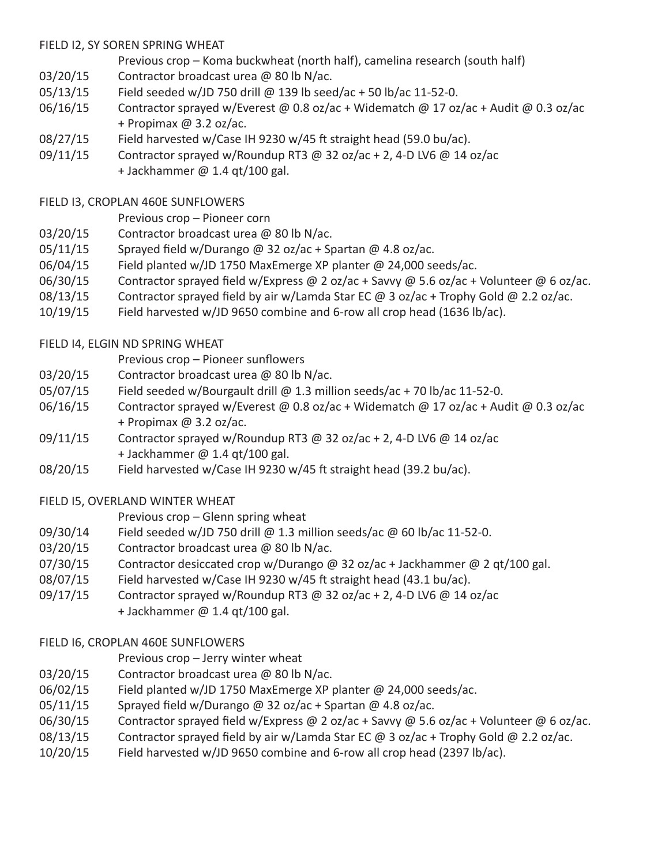### FIELD I2, SY SOREN SPRING WHEAT

- Previous crop Koma buckwheat (north half), camelina research (south half)
- 03/20/15 Contractor broadcast urea @ 80 lb N/ac.
- 05/13/15 Field seeded w/JD 750 drill @ 139 lb seed/ac + 50 lb/ac 11-52-0.
- 06/16/15 Contractor sprayed w/Everest @ 0.8 oz/ac + Widematch @ 17 oz/ac + Audit @ 0.3 oz/ac + Propimax @ 3.2 oz/ac.
- 08/27/15 Field harvested w/Case IH 9230 w/45 ft straight head (59.0 bu/ac).
- $09/11/15$  Contractor sprayed w/Roundup RT3 @ 32 oz/ac + 2, 4-D LV6 @ 14 oz/ac + Jackhammer @ 1.4 qt/100 gal.
- FIELD I3, CROPLAN 460E SUNFLOWERS

Previous crop – Pioneer corn

- 03/20/15 Contractor broadcast urea @ 80 lb N/ac.
- $05/11/15$  Sprayed field w/Durango @ 32 oz/ac + Spartan @ 4.8 oz/ac.
- 06/04/15 Field planted w/JD 1750 MaxEmerge XP planter @ 24,000 seeds/ac.
- 06/30/15 Contractor sprayed field w/Express @ 2 oz/ac + Savvy @ 5.6 oz/ac + Volunteer @ 6 oz/ac.
- 08/13/15 Contractor sprayed field by air w/Lamda Star EC @ 3 oz/ac + Trophy Gold @ 2.2 oz/ac.
- 10/19/15 Field harvested w/JD 9650 combine and 6-row all crop head (1636 lb/ac).
- FIELD I4, ELGIN ND SPRING WHEAT
	- Previous crop Pioneer sunflowers
- 03/20/15 Contractor broadcast urea @ 80 lb N/ac.
- 05/07/15 Field seeded w/Bourgault drill @ 1.3 million seeds/ac + 70 lb/ac 11-52-0.
- 06/16/15 Contractor sprayed w/Everest @ 0.8 oz/ac + Widematch @ 17 oz/ac + Audit @ 0.3 oz/ac + Propimax @ 3.2 oz/ac.
- 09/11/15 Contractor sprayed w/Roundup RT3 @ 32 oz/ac + 2, 4-D LV6 @ 14 oz/ac + Jackhammer @ 1.4 qt/100 gal.
- 08/20/15 Field harvested w/Case IH 9230 w/45 ft straight head (39.2 bu/ac).
- FIELD I5, OVERLAND WINTER WHEAT

 Previous crop – Glenn spring wheat

- 09/30/14 Field seeded w/JD 750 drill @ 1.3 million seeds/ac @ 60 lb/ac 11-52-0.
- 03/20/15 Contractor broadcast urea @ 80 lb N/ac.
- 07/30/15 Contractor desiccated crop w/Durango @ 32 oz/ac + Jackhammer @ 2 qt/100 gal.
- 08/07/15 Field harvested w/Case IH 9230 w/45 ft straight head (43.1 bu/ac).
- 09/17/15 Contractor sprayed w/Roundup RT3 @ 32 oz/ac + 2, 4-D LV6 @ 14 oz/ac + Jackhammer @ 1.4 qt/100 gal.

## FIELD I6, CROPLAN 460E SUNFLOWERS

- Previous crop Jerry winter wheat
- 03/20/15 Contractor broadcast urea @ 80 lb N/ac.
- 06/02/15 Field planted w/JD 1750 MaxEmerge XP planter @ 24,000 seeds/ac.
- $05/11/15$  Sprayed field w/Durango @ 32 oz/ac + Spartan @ 4.8 oz/ac.
- 06/30/15 Contractor sprayed field w/Express @ 2 oz/ac + Savvy @ 5.6 oz/ac + Volunteer @ 6 oz/ac.
- 08/13/15 Contractor sprayed field by air w/Lamda Star EC @ 3 oz/ac + Trophy Gold @ 2.2 oz/ac.
- 10/20/15 Field harvested w/JD 9650 combine and 6-row all crop head (2397 lb/ac).